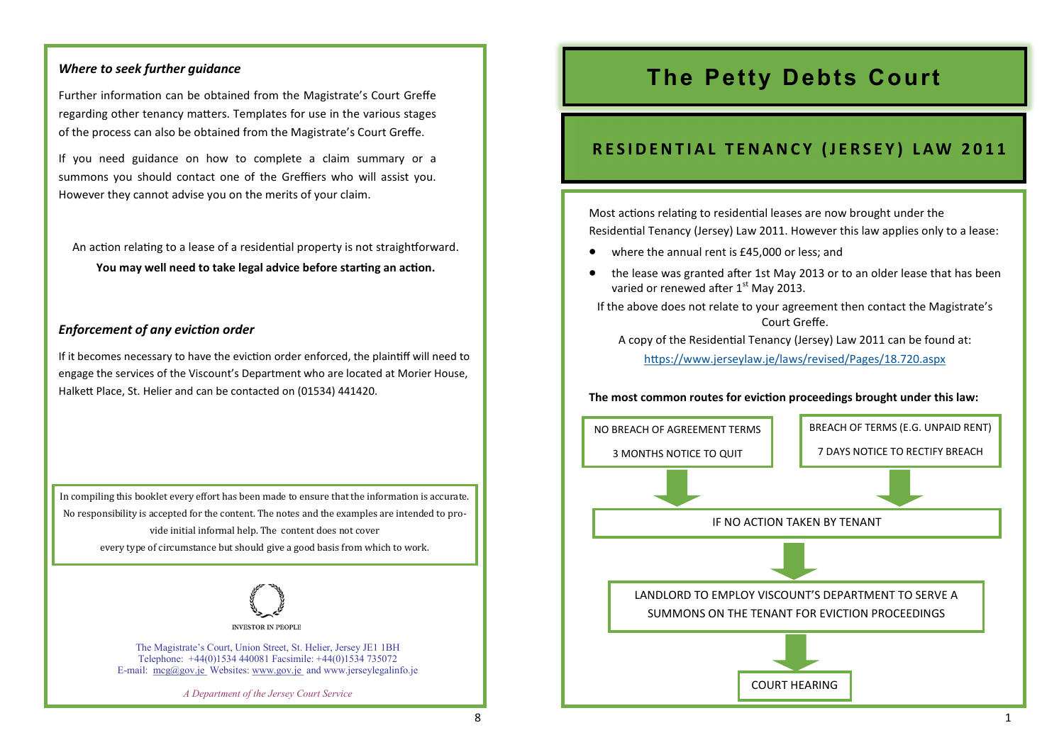# *Where to seek further guidance*

Further information can be obtained from the Magistrate's Court Greffe regarding other tenancy matters. Templates for use in the various stages of the process can also be obtained from the Magistrate's Court Greffe.

If you need guidance on how to complete a claim summary or a summons you should contact one of the Greffiers who will assist you. However they cannot advise you on the merits of your claim.

An action relating to a lease of a residential property is not straightforward. **You may well need to take legal advice before starting an action.** 

# *Enforcement of any eviction order*

If it becomes necessary to have the eviction order enforced, the plaintiff will need to engage the services of the Viscount's Department who are located at Morier House, Halkett Place, St. Helier and can be contacted on (01534) 441420.

In compiling this booklet every effort has been made to ensure that the information is accurate. No responsibility is accepted for the content. The notes and the examples are intended to provide initial informal help. The content does not cover every type of circumstance but should give a good basis from which to work.



The Magistrate's Court, Union Street, St. Helier, Jersey JE1 1BH Telephone: +44(0)1534 440081 Facsimile: +44(0)1534 735072 E-mail:  $mcg(\partial g \circ \phi)$  is Websites: www.gov.je and www.jerseylegalinfo.je

*A Department of the Jersey Court Service*

# **The Petty Debts Court**

# **RESIDENTIAL TENANCY (JERSEY) LAW 2011**

Most actions relating to residential leases are now brought under the Residential Tenancy (Jersey) Law 2011. However this law applies only to a lease:

- where the annual rent is £45,000 or less; and
- the lease was granted after 1st May 2013 or to an older lease that has been varied or renewed after 1<sup>st</sup> May 2013.

If the above does not relate to your agreement then contact the Magistrate's Court Greffe.

A copy of the Residential Tenancy (Jersey) Law 2011 can be found at:

<https://www.jerseylaw.je/laws/revised/Pages/18.720.aspx>

## **The most common routes for eviction proceedings brought under this law:**

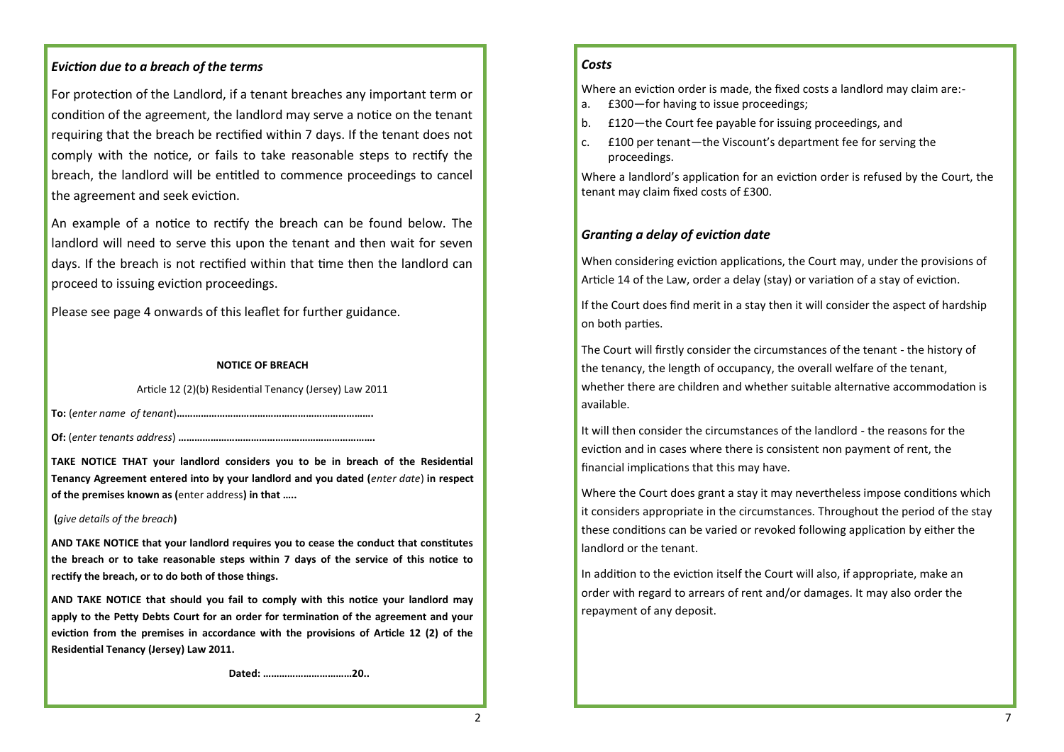## *Eviction due to a breach of the terms*

For protection of the Landlord, if a tenant breaches any important term or condition of the agreement, the landlord may serve a notice on the tenant requiring that the breach be rectified within 7 days. If the tenant does not comply with the notice, or fails to take reasonable steps to rectify the breach, the landlord will be entitled to commence proceedings to cancel the agreement and seek eviction.

An example of a notice to rectify the breach can be found below. The landlord will need to serve this upon the tenant and then wait for seven days. If the breach is not rectified within that time then the landlord can proceed to issuing eviction proceedings.

Please see page 4 onwards of this leaflet for further guidance.

## **NOTICE OF BREACH**

Article 12 (2)(b) Residential Tenancy (Jersey) Law 2011

**To:** (*enter name of tenant*)**……………………………………………………………….**

**Of:** (*enter tenants address*) **……………………………………………………………….**

**TAKE NOTICE THAT your landlord considers you to be in breach of the Residential Tenancy Agreement entered into by your landlord and you dated (***enter date*) **in respect of the premises known as (**enter address**) in that …..**

### **(***give details of the breach***)**

**AND TAKE NOTICE that your landlord requires you to cease the conduct that constitutes the breach or to take reasonable steps within 7 days of the service of this notice to rectify the breach, or to do both of those things.**

**AND TAKE NOTICE that should you fail to comply with this notice your landlord may apply to the Petty Debts Court for an order for termination of the agreement and your eviction from the premises in accordance with the provisions of Article 12 (2) of the Residential Tenancy (Jersey) Law 2011.**

 **Dated: ……………………………20..**

# *Costs*

Where an eviction order is made, the fixed costs a landlord may claim are:-

- a. £300—for having to issue proceedings;
- b. £120—the Court fee payable for issuing proceedings, and
- c. £100 per tenant—the Viscount's department fee for serving the proceedings.

Where a landlord's application for an eviction order is refused by the Court, the tenant may claim fixed costs of £300.

# *Granting a delay of eviction date*

When considering eviction applications, the Court may, under the provisions of Article 14 of the Law, order a delay (stay) or variation of a stay of eviction.

If the Court does find merit in a stay then it will consider the aspect of hardship on both parties.

The Court will firstly consider the circumstances of the tenant - the history of the tenancy, the length of occupancy, the overall welfare of the tenant, whether there are children and whether suitable alternative accommodation is available.

It will then consider the circumstances of the landlord - the reasons for the eviction and in cases where there is consistent non payment of rent, the financial implications that this may have.

Where the Court does grant a stay it may nevertheless impose conditions which it considers appropriate in the circumstances. Throughout the period of the stay these conditions can be varied or revoked following application by either the landlord or the tenant.

In addition to the eviction itself the Court will also, if appropriate, make an order with regard to arrears of rent and/or damages. It may also order the repayment of any deposit.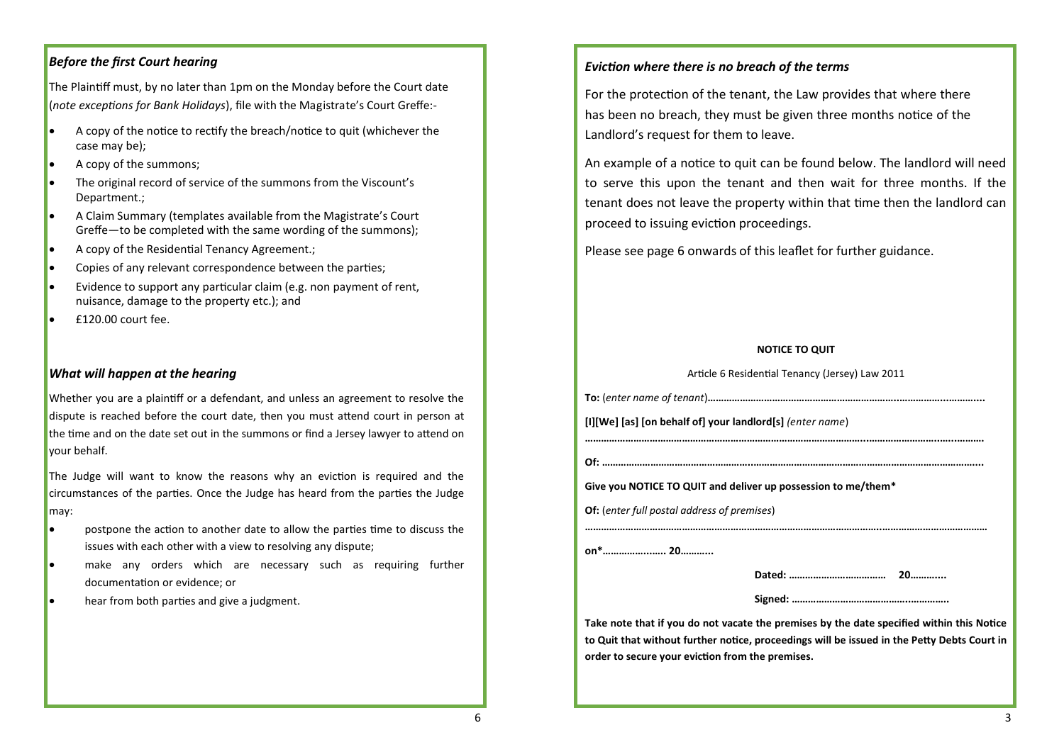# *Before the first Court hearing*

The Plaintiff must, by no later than 1pm on the Monday before the Court date (*note exceptions for Bank Holidays*), file with the Magistrate's Court Greffe:-

- A copy of the notice to rectify the breach/notice to quit (whichever the case may be);
- A copy of the summons;
- The original record of service of the summons from the Viscount's Department.;
- A Claim Summary (templates available from the Magistrate's Court Greffe—to be completed with the same wording of the summons);
- A copy of the Residential Tenancy Agreement.;
- Copies of any relevant correspondence between the parties;
- Evidence to support any particular claim (e.g. non payment of rent, nuisance, damage to the property etc.); and
- £120.00 court fee.

## *What will happen at the hearing*

Whether you are a plaintiff or a defendant, and unless an agreement to resolve the dispute is reached before the court date, then you must attend court in person at the time and on the date set out in the summons or find a Jersey lawyer to attend on your behalf.

The Judge will want to know the reasons why an eviction is required and the circumstances of the parties. Once the Judge has heard from the parties the Judge may:

- postpone the action to another date to allow the parties time to discuss the issues with each other with a view to resolving any dispute;
- make any orders which are necessary such as requiring further documentation or evidence; or
- hear from both parties and give a judgment.

# *Eviction where there is no breach of the terms*

For the protection of the tenant, the Law provides that where there has been no breach, they must be given three months notice of the Landlord's request for them to leave.

An example of a notice to quit can be found below. The landlord will need to serve this upon the tenant and then wait for three months. If the tenant does not leave the property within that time then the landlord can proceed to issuing eviction proceedings.

Please see page 6 onwards of this leaflet for further guidance.

### **NOTICE TO QUIT**

|                                                                                                                                                                                          | Article 6 Residential Tenancy (Jersey) Law 2011 |  |
|------------------------------------------------------------------------------------------------------------------------------------------------------------------------------------------|-------------------------------------------------|--|
|                                                                                                                                                                                          |                                                 |  |
| [I][We] [as] [on behalf of] your landlord[s] (enter name)                                                                                                                                |                                                 |  |
|                                                                                                                                                                                          |                                                 |  |
|                                                                                                                                                                                          |                                                 |  |
| Give you NOTICE TO QUIT and deliver up possession to me/them*                                                                                                                            |                                                 |  |
| <b>Of:</b> (enter full postal address of premises)                                                                                                                                       |                                                 |  |
|                                                                                                                                                                                          |                                                 |  |
|                                                                                                                                                                                          |                                                 |  |
|                                                                                                                                                                                          |                                                 |  |
|                                                                                                                                                                                          |                                                 |  |
| Take note that if you do not vacate the premises by the date specified within this Notice<br>to Quit that without further notice, proceedings will be issued in the Petty Debts Court in |                                                 |  |
| order to secure your eviction from the premises.                                                                                                                                         |                                                 |  |